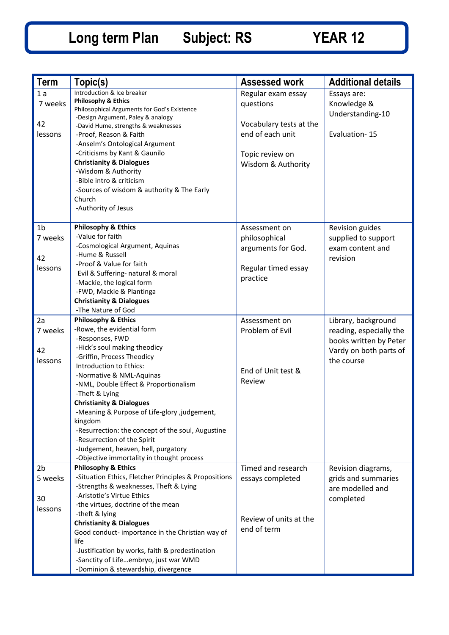| <b>Term</b>    | Topic(s)                                                                         | <b>Assessed work</b>    | <b>Additional details</b> |
|----------------|----------------------------------------------------------------------------------|-------------------------|---------------------------|
| 1a             | Introduction & Ice breaker                                                       | Regular exam essay      | Essays are:               |
| 7 weeks        | <b>Philosophy &amp; Ethics</b>                                                   | questions               | Knowledge &               |
|                | Philosophical Arguments for God's Existence                                      |                         | Understanding-10          |
| 42             | -Design Argument, Paley & analogy                                                | Vocabulary tests at the |                           |
|                | -David Hume, strengths & weaknesses                                              | end of each unit        |                           |
| lessons        | -Proof, Reason & Faith                                                           |                         | Evaluation-15             |
|                | -Anselm's Ontological Argument                                                   |                         |                           |
|                | -Criticisms by Kant & Gaunilo                                                    | Topic review on         |                           |
|                | <b>Christianity &amp; Dialogues</b>                                              | Wisdom & Authority      |                           |
|                | -Wisdom & Authority<br>-Bible intro & criticism                                  |                         |                           |
|                |                                                                                  |                         |                           |
|                | -Sources of wisdom & authority & The Early<br>Church                             |                         |                           |
|                | -Authority of Jesus                                                              |                         |                           |
|                |                                                                                  |                         |                           |
| 1 <sub>b</sub> | <b>Philosophy &amp; Ethics</b>                                                   | Assessment on           | <b>Revision guides</b>    |
| 7 weeks        | -Value for faith                                                                 | philosophical           | supplied to support       |
|                | -Cosmological Argument, Aquinas                                                  | arguments for God.      | exam content and          |
| 42             | -Hume & Russell                                                                  |                         | revision                  |
| lessons        | -Proof & Value for faith                                                         | Regular timed essay     |                           |
|                | Evil & Suffering- natural & moral                                                | practice                |                           |
|                | -Mackie, the logical form                                                        |                         |                           |
|                | -FWD, Mackie & Plantinga                                                         |                         |                           |
|                | <b>Christianity &amp; Dialogues</b>                                              |                         |                           |
|                | -The Nature of God                                                               |                         |                           |
| 2a             | <b>Philosophy &amp; Ethics</b>                                                   | Assessment on           | Library, background       |
| 7 weeks        | -Rowe, the evidential form                                                       | Problem of Evil         | reading, especially the   |
|                | -Responses, FWD                                                                  |                         | books written by Peter    |
| 42             | -Hick's soul making theodicy                                                     |                         | Vardy on both parts of    |
| lessons        | -Griffin, Process Theodicy                                                       |                         | the course                |
|                | Introduction to Ethics:                                                          | End of Unit test &      |                           |
|                | -Normative & NML-Aquinas                                                         | Review                  |                           |
|                | -NML, Double Effect & Proportionalism                                            |                         |                           |
|                | -Theft & Lying                                                                   |                         |                           |
|                | <b>Christianity &amp; Dialogues</b>                                              |                         |                           |
|                | Meaning & Purpose of Life-glory ,judgement,                                      |                         |                           |
|                | kingdom                                                                          |                         |                           |
|                | -Resurrection: the concept of the soul, Augustine<br>-Resurrection of the Spirit |                         |                           |
|                | -Judgement, heaven, hell, purgatory                                              |                         |                           |
|                | -Objective immortality in thought process                                        |                         |                           |
| 2 <sub>b</sub> | <b>Philosophy &amp; Ethics</b>                                                   | Timed and research      |                           |
|                | -Situation Ethics, Fletcher Principles & Propositions                            |                         | Revision diagrams,        |
| 5 weeks        | -Strengths & weaknesses, Theft & Lying                                           | essays completed        | grids and summaries       |
|                | -Aristotle's Virtue Ethics                                                       |                         | are modelled and          |
| 30             | -the virtues, doctrine of the mean                                               |                         | completed                 |
| lessons        | -theft & lying                                                                   |                         |                           |
|                | <b>Christianity &amp; Dialogues</b>                                              | Review of units at the  |                           |
|                | Good conduct-importance in the Christian way of                                  | end of term             |                           |
|                | life                                                                             |                         |                           |
|                | -Justification by works, faith & predestination                                  |                         |                           |
|                | -Sanctity of Lifeembryo, just war WMD                                            |                         |                           |
|                | -Dominion & stewardship, divergence                                              |                         |                           |
|                |                                                                                  |                         |                           |